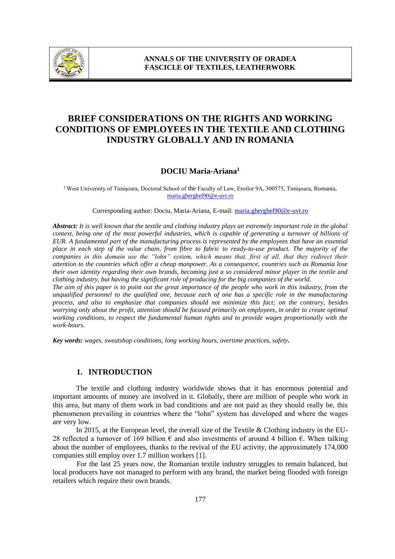

# **BRIEF CONSIDERATIONS ON THE RIGHTS AND WORKING CONDITIONS OF EMPLOYEES IN THE TEXTILE AND CLOTHING INDUSTRY GLOBALLY AND IN ROMANIA**

# **DOCIU Maria-Ariana<sup>1</sup>**

<sup>1</sup> West University of Timișoara, Doctoral School of the Faculty of Law, Eroilor 9A, 300575, Timișoara, Romania, maria.gherghel90@e-uvt.ro

Corresponding author: Dociu, Maria-Ariana, E-mail: maria.gherghel90@e-uvt.ro

*Abstract: It is well known that the textile and clothing industry plays an extremely important role in the global context, being one of the most powerful industries, which is capable of generating a turnover of billions of EUR. A fundamental part of the manufacturing process is represented by the employees that have an essential place in each step of the value chain, from fibre to fabric to ready-to-use product. The majority of the companies in this domain use the "lohn" system, which means that, first of all, that they redirect their attention to the countries which offer a cheap manpower. As a consequence, countries such as Romania lose their own identity regarding their own brands, becoming just a so considered minor player in the textile and clothing industry, but having the significant role of producing for the big companies of the world.* 

*The aim of this paper is to point out the great importance of the people who work in this industry, from the unqualified personnel to the qualified one, because each of one has a specific role in the manufacturing process, and also to emphasize that companies should not minimize this fact; on the contrary, besides worrying only about the profit, attention should be focused primarily on employees, in order to create optimal working conditions, to respect the fundamental human rights and to provide wages proportionally with the work-hours.*

*Key words: wages, sweatshop conditions, long working hours, overtime practices, safety.*

#### **1. INTRODUCTION**

The textile and clothing industry worldwide shows that it has enormous potential and important amounts of money are involved in it. Globally, there are million of people who work in this area, but many of them work in bad conditions and are not paid as they should really be, this phenomenon prevailing in countries where the "lohn" system has developed and where the wages are very low.

In 2015, at the European level, the overall size of the Textile & Clothing industry in the EU-28 reflected a turnover of 169 billion € and also investments of around 4 billion €. When talking about the number of employees, thanks to the revival of the EU activity, the approximately 174,000 companies still employ over 1.7 million workers [1].

For the last 25 years now, the Romanian textile industry struggles to remain balanced, but local producers have not managed to perform with any brand, the market being flooded with foreign retailers which require their own brands.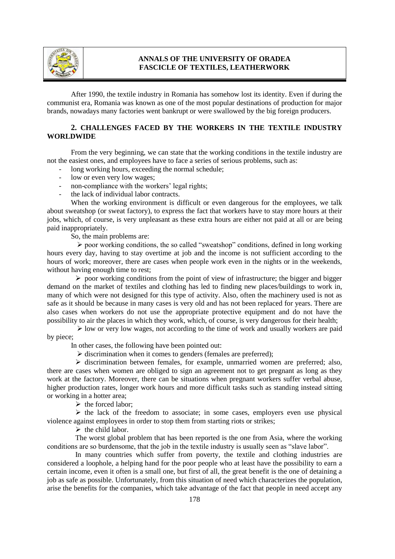

After 1990, the textile industry in Romania has somehow lost its identity. Even if during the communist era, Romania was known as one of the most popular destinations of production for major brands, nowadays many factories went bankrupt or were swallowed by the big foreign producers.

## **2. CHALLENGES FACED BY THE WORKERS IN THE TEXTILE INDUSTRY WORLDWIDE**

From the very beginning, we can state that the working conditions in the textile industry are not the easiest ones, and employees have to face a series of serious problems, such as:

- long working hours, exceeding the normal schedule;
- low or even very low wages;
- non-compliance with the workers' legal rights;
- the lack of individual labor contracts.

When the working environment is difficult or even dangerous for the employees, we talk about sweatshop (or sweat factory), to express the fact that workers have to stay more hours at their jobs, which, of course, is very unpleasant as these extra hours are either not paid at all or are being paid inappropriately.

So, the main problems are:

 $\triangleright$  poor working conditions, the so called "sweatshop" conditions, defined in long working hours every day, having to stay overtime at job and the income is not sufficient according to the hours of work; moreover, there are cases when people work even in the nights or in the weekends, without having enough time to rest;

 $\triangleright$  poor working conditions from the point of view of infrastructure; the bigger and bigger demand on the market of textiles and clothing has led to finding new places/buildings to work in, many of which were not designed for this type of activity. Also, often the machinery used is not as safe as it should be because in many cases is very old and has not been replaced for years. There are also cases when workers do not use the appropriate protective equipment and do not have the possibility to air the places in which they work, which, of course, is very dangerous for their health;

 $\triangleright$  low or very low wages, not according to the time of work and usually workers are paid by piece;

In other cases, the following have been pointed out:

 $\triangleright$  discrimination when it comes to genders (females are preferred);

 $\triangleright$  discrimination between females, for example, unmarried women are preferred; also, there are cases when women are obliged to sign an agreement not to get pregnant as long as they work at the factory. Moreover, there can be situations when pregnant workers suffer verbal abuse, higher production rates, longer work hours and more difficult tasks such as standing instead sitting or working in a hotter area;

 $\triangleright$  the forced labor:

 $\triangleright$  the lack of the freedom to associate; in some cases, employers even use physical violence against employees in order to stop them from starting riots or strikes;

 $\triangleright$  the child labor.

The worst global problem that has been reported is the one from Asia, where the working conditions are so burdensome, that the job in the textile industry is usually seen as "slave labor".

In many countries which suffer from poverty, the textile and clothing industries are considered a loophole, a helping hand for the poor people who at least have the possibility to earn a certain income, even it often is a small one, but first of all, the great benefit is the one of detaining a job as safe as possible. Unfortunately, from this situation of need which characterizes the population, arise the benefits for the companies, which take advantage of the fact that people in need accept any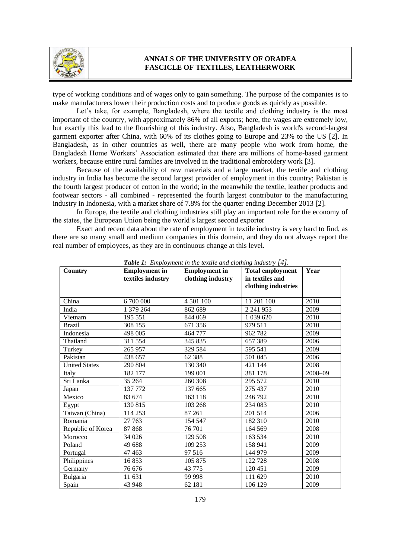

type of working conditions and of wages only to gain something. The purpose of the companies is to make manufacturers lower their production costs and to produce goods as quickly as possible.

Let's take, for example, Bangladesh, where the textile and clothing industry is the most important of the country, with approximately 86% of all exports; here, the wages are extremely low, but exactly this lead to the flourishing of this industry. Also, Bangladesh is world's second-largest garment exporter after China, with 60% of its clothes going to Europe and 23% to the US [2]. In Bangladesh, as in other countries as well, there are many people who work from home, the Bangladesh Home Workers' Association estimated that there are millions of home-based garment workers, because entire rural families are involved in the traditional embroidery work [3].

Because of the availability of raw materials and a large market, the textile and clothing industry in India has become the second largest provider of employment in this country; Pakistan is the fourth largest producer of cotton in the world; in the meanwhile the textile, leather products and footwear sectors - all combined - represented the fourth largest contributor to the manufacturing industry in Indonesia, with a market share of 7.8% for the quarter ending December 2013 [2].

In Europe, the textile and clothing industries still play an important role for the economy of the states, the European Union being the world's largest second exporter

Exact and recent data about the rate of employment in textile industry is very hard to find, as there are so many small and medium companies in this domain, and they do not always report the real number of employees, as they are in continuous change at this level.

| Country              | <b>Employment</b> in<br>textiles industry | <b>Employment</b> in<br>clothing industry | <b>Total employment</b><br>in textiles and<br>clothing industries | Year    |
|----------------------|-------------------------------------------|-------------------------------------------|-------------------------------------------------------------------|---------|
| China                | 6 700 000                                 | 4 501 100                                 | 11 201 100                                                        | 2010    |
| India                | 1 379 264                                 | 862 689                                   | 2 241 953                                                         | 2009    |
| Vietnam              | 195 551                                   | 844 069                                   | 1 0 39 6 20                                                       | 2010    |
| <b>Brazil</b>        | 308 155                                   | 671 356                                   | 979 511                                                           | 2010    |
| Indonesia            | 498 005                                   | 464 777                                   | 962 782                                                           | 2009    |
| Thailand             | 311 554                                   | 345 835                                   | 657 389                                                           | 2006    |
| Turkey               | 265 957                                   | 329 584                                   | 595 541                                                           | 2009    |
| Pakistan             | 438 657                                   | 62 3 88                                   | 501 045                                                           | 2006    |
| <b>United States</b> | 290 804                                   | 130 340                                   | 421 144                                                           | 2008    |
| Italy                | 182 177                                   | 199 001                                   | 381 178                                                           | 2008-09 |
| Sri Lanka            | 35 264                                    | 260 308                                   | 295 572                                                           | 2010    |
| Japan                | 137 772                                   | 137 665                                   | 275 437                                                           | 2010    |
| Mexico               | 83 674                                    | 163 118                                   | 246 792                                                           | 2010    |
| Egypt                | 130 815                                   | 103 268                                   | 234 083                                                           | 2010    |
| Taiwan (China)       | 114 253                                   | 87 261                                    | 201 514                                                           | 2006    |
| Romania              | 27 763                                    | 154 547                                   | 182 310                                                           | 2010    |
| Republic of Korea    | 87 868                                    | 76 701                                    | 164 569                                                           | 2008    |
| Morocco              | 34 0 26                                   | 129 508                                   | 163 534                                                           | 2010    |
| Poland               | 49 688                                    | 109 253                                   | 158 941                                                           | 2009    |
| Portugal             | 47 4 63                                   | 97 516                                    | 144 979                                                           | 2009    |
| Philippines          | 16853                                     | 105 875                                   | 122 728                                                           | 2008    |
| Germany              | 76 676                                    | 43 775                                    | 120 451                                                           | 2009    |
| Bulgaria             | 11 631                                    | 99 998                                    | 111 629                                                           | 2010    |
| Spain                | 43 948                                    | 62 181                                    | 106 129                                                           | 2009    |

*Table 1: Employment in the textile and clothing industry [4].*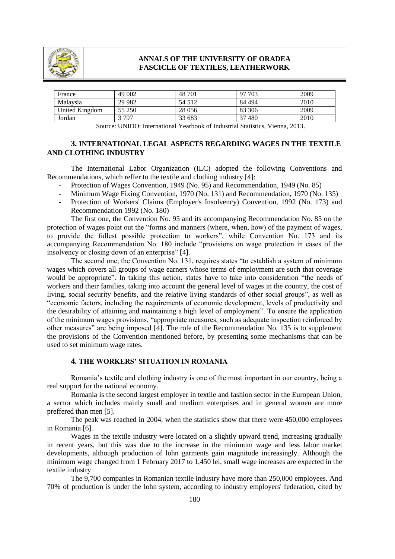

| France                    | 49 002  | 48 701  | 97 703 | 2009 |  |
|---------------------------|---------|---------|--------|------|--|
| Malaysia                  | 29 9 82 | 54 512  | 84 494 | 2010 |  |
| United Kingdom            | 55 250  | 28 0 56 | 83 306 | 2009 |  |
| Jordan                    | 3 797   | 33 683  | 37480  | 2010 |  |
| $- - -$<br>$\sim$<br>---- |         |         |        |      |  |

Source: UNIDO: International Yearbook of Industrial Statistics, Vienna, 2013.

## **3. INTERNATIONAL LEGAL ASPECTS REGARDING WAGES IN THE TEXTILE AND CLOTHING INDUSTRY**

The International Labor Organization (ILC) adopted the following Conventions and Recommendations, which reffer to the textile and clothing industry [4]:

- Protection of Wages Convention, 1949 (No. 95) and Recommendation, 1949 (No. 85)
- Minimum Wage Fixing Convention, 1970 (No. 131) and Recommendation, 1970 (No. 135)
- Protection of Workers' Claims (Employer's Insolvency) Convention, 1992 (No. 173) and Recommendation 1992 (No. 180)

The first one, the Convention No. 95 and its accompanying Recommendation No. 85 on the protection of wages point out the "forms and manners (where, when, how) of the payment of wages, to provide the fullest possible protection to workers", while Convention No. 173 and its accompanying Recommendation No. 180 include "provisions on wage protection in cases of the insolvency or closing down of an enterprise" [4].

The second one, the Convention No. 131, requires states "to establish a system of minimum wages which covers all groups of wage earners whose terms of employment are such that coverage would be appropriate". In taking this action, states have to take into consideration "the needs of workers and their families, taking into account the general level of wages in the country, the cost of living, social security benefits, and the relative living standards of other social groups", as well as "economic factors, including the requirements of economic development, levels of productivity and the desirability of attaining and maintaining a high level of employment". To ensure the application of the minimum wages provisions, "appropriate measures, such as adequate inspection reinforced by other measures" are being imposed [4]. The role of the Recommendation No. 135 is to supplement the provisions of the Convention mentioned before, by presenting some mechanisms that can be used to set minimum wage rates.

#### **4. THE WORKERS' SITUATION IN ROMANIA**

Romania's textile and clothing industry is one of the most important in our country, being a real support for the national economy.

Romania is the second largest employer in textile and fashion sector in the European Union, a sector which includes mainly small and medium enterprises and in general women are more preffered than men [5].

The peak was reached in 2004, when the statistics show that there were 450,000 employees in Romania [6].

Wages in the textile industry were located on a slightly upward trend, increasing gradually in recent years, but this was due to the increase in the minimum wage and less labor market developments, although production of lohn garments gain magnitude increasingly. Although the minimum wage changed from 1 February 2017 to 1,450 lei, small wage increases are expected in the textile industry

The 9,700 companies in Romanian textile industry have more than 250,000 employees. And 70% of production is under the lohn system, according to industry employers' federation, cited by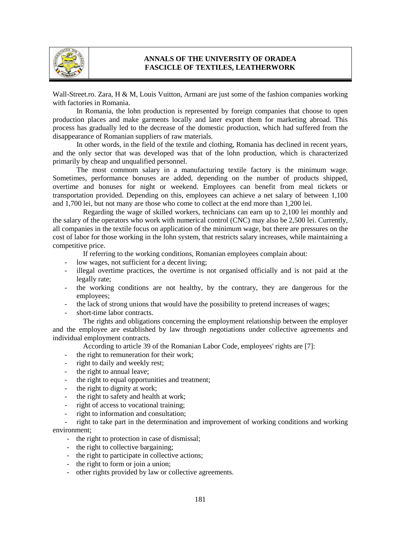

Wall-Street.ro. Zara, H & M, Louis Vuitton, Armani are just some of the fashion companies working with factories in Romania.

In Romania, the lohn production is represented by foreign companies that choose to open production places and make garments locally and later export them for marketing abroad. This process has gradually led to the decrease of the domestic production, which had suffered from the disappearance of Romanian suppliers of raw materials.

In other words, in the field of the textile and clothing, Romania has declined in recent years, and the only sector that was developed was that of the lohn production, which is characterized primarily by cheap and unqualified personnel.

The most commom salary in a manufacturing textile factory is the minimum wage. Sometimes, performance bonuses are added, depending on the number of products shipped, overtime and bonuses for night or weekend. Employees can benefit from meal tickets or transportation provided. Depending on this, employees can achieve a net salary of between 1,100 and 1,700 lei, but not many are those who come to collect at the end more than 1,200 lei.

Regarding the wage of skilled workers, technicians can earn up to 2,100 lei monthly and the salary of the operators who work with numerical control (CNC) may also be 2,500 lei. Currently, all companies in the textile focus on application of the minimum wage, but there are pressures on the cost of labor for those working in the lohn system, that restricts salary increases, while maintaining a competitive price.

If referring to the working conditions, Romanian employees complain about:

- low wages, not sufficient for a decent living;
- illegal overtime practices, the overtime is not organised officially and is not paid at the legally rate;
- the working conditions are not healthy, by the contrary, they are dangerous for the employees;
- the lack of strong unions that would have the possibility to pretend increases of wages;
- short-time labor contracts.

The rights and obligations concerning the employment relationship between the employer and the employee are established by law through negotiations under collective agreements and individual employment contracts.

According to article 39 of the Romanian Labor Code, employees' rights are [7]:

- the right to remuneration for their work;
- right to daily and weekly rest;
- the right to annual leave;
- the right to equal opportunities and treatment;
- the right to dignity at work;
- the right to safety and health at work:
- right of access to vocational training;
- right to information and consultation;

right to take part in the determination and improvement of working conditions and working environment;

- the right to protection in case of dismissal;
- the right to collective bargaining;
- the right to participate in collective actions;
- the right to form or join a union;
- other rights provided by law or collective agreements.